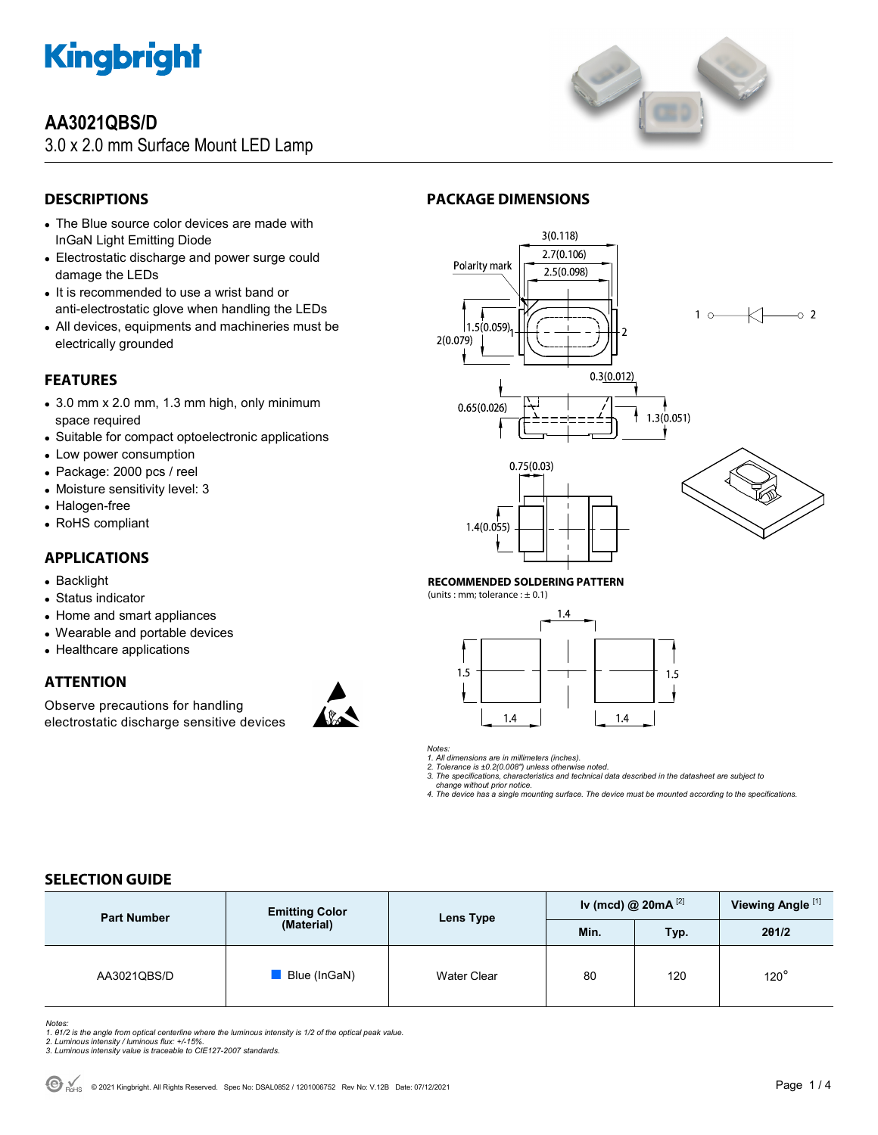

## **AA3021QBS/D**

3.0 x 2.0 mm Surface Mount LED Lamp



## **DESCRIPTIONS**

- The Blue source color devices are made with InGaN Light Emitting Diode
- Electrostatic discharge and power surge could damage the LEDs
- It is recommended to use a wrist band or anti-electrostatic glove when handling the LEDs
- All devices, equipments and machineries must be electrically grounded

## **FEATURES**

- 3.0 mm x 2.0 mm, 1.3 mm high, only minimum space required
- Suitable for compact optoelectronic applications
- Low power consumption
- Package: 2000 pcs / reel
- Moisture sensitivity level: 3
- Halogen-free
- RoHS compliant

#### **APPLICATIONS**

- Backlight
- Status indicator
- Home and smart appliances
- Wearable and portable devices
- Healthcare applications

## **ATTENTION**

Observe precautions for handling electrostatic discharge sensitive devices



## **PACKAGE DIMENSIONS**



#### **RECOMMENDED SOLDERING PATTERN**

(units : mm; tolerance :  $\pm$  0.1)



*Notes:* 

*1. All dimensions are in millimeters (inches). 2. Tolerance is ±0.2(0.008") unless otherwise noted.* 

*3. The specifications, characteristics and technical data described in the datasheet are subject to* 

 *change without prior notice.* 

*4. The device has a single mounting surface. The device must be mounted according to the specifications.* 

## **SELECTION GUIDE**

| <b>Part Number</b> | <b>Emitting Color</b> | Lens Type          | Iv (mcd) @ $20mA^{[2]}$ |      | Viewing Angle <sup>[1]</sup> |
|--------------------|-----------------------|--------------------|-------------------------|------|------------------------------|
|                    | (Material)            |                    | Min.                    | Typ. | 201/2                        |
| AA3021QBS/D        | Blue (InGaN)          | <b>Water Clear</b> | 80                      | 120  | $120^\circ$                  |

Notes:<br>1. 81/2 is the angle from optical centerline where the luminous intensity is 1/2 of the optical peak value.<br>2. Luminous intensity / luminous flux: +/-15%.<br>3. Luminous intensity value is traceable to CIE127-2007 stan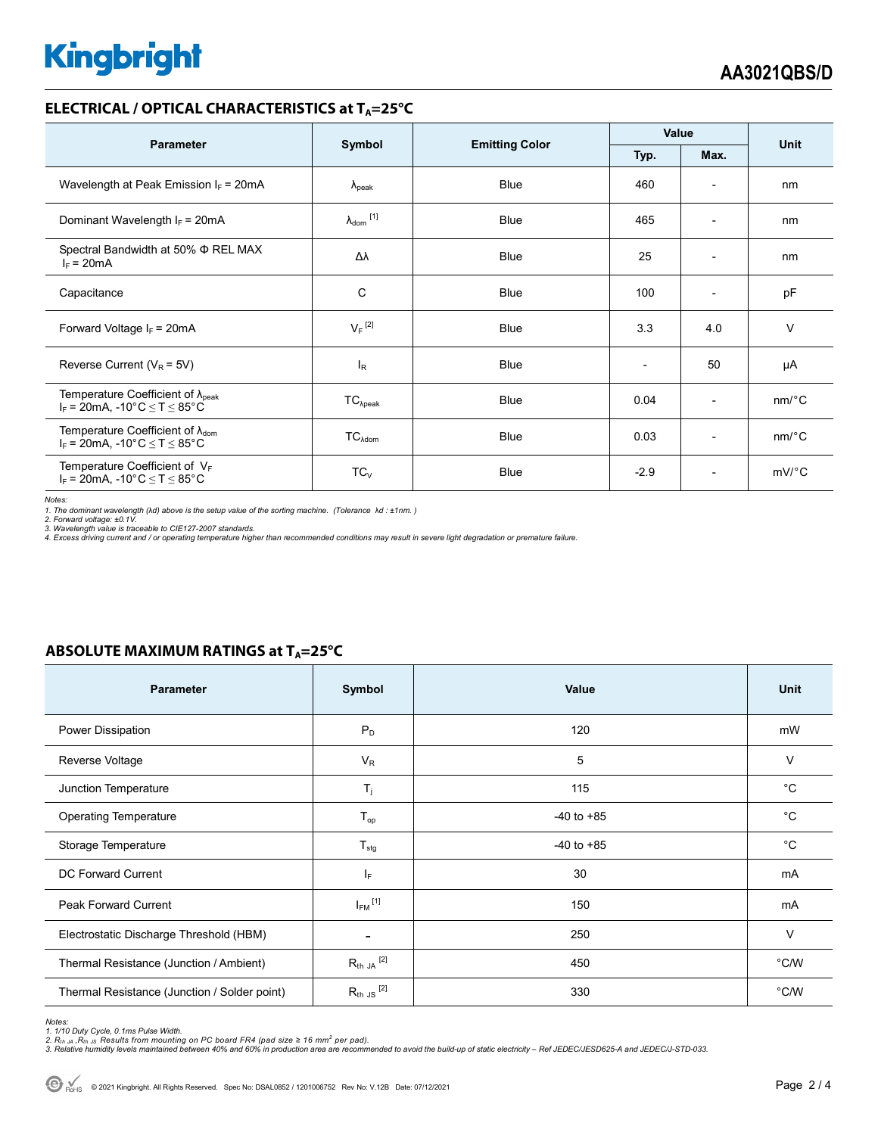# **Kingbright**

#### **ELECTRICAL / OPTICAL CHARACTERISTICS at T<sub>A</sub>=25°C**

| <b>Parameter</b>                                                                                                                 | Symbol                       |                                       | Value                    |                          | <b>Unit</b>           |
|----------------------------------------------------------------------------------------------------------------------------------|------------------------------|---------------------------------------|--------------------------|--------------------------|-----------------------|
|                                                                                                                                  |                              | <b>Emitting Color</b><br>Typ.<br>Max. |                          |                          |                       |
| Wavelength at Peak Emission $I_F = 20mA$                                                                                         | $\lambda_{\rm peak}$         | <b>Blue</b>                           | 460                      | $\overline{a}$           | nm                    |
| Dominant Wavelength $I_F = 20mA$                                                                                                 | $\lambda_{\mathsf{dom}}$ [1] | <b>Blue</b>                           | 465                      | $\overline{\phantom{a}}$ | nm                    |
| Spectral Bandwidth at 50% $\Phi$ REL MAX<br>$I_F = 20mA$                                                                         | Δλ                           | <b>Blue</b>                           | 25                       | $\overline{\phantom{a}}$ | nm                    |
| Capacitance                                                                                                                      | С                            | <b>Blue</b>                           | 100                      | $\overline{\phantom{a}}$ | pF                    |
| Forward Voltage $I_F = 20mA$                                                                                                     | $V_F$ <sup>[2]</sup>         | <b>Blue</b>                           | 3.3                      | 4.0                      | $\vee$                |
| Reverse Current ( $V_R$ = 5V)                                                                                                    | $I_R$                        | <b>Blue</b>                           | $\overline{\phantom{0}}$ | 50                       | μA                    |
| Temperature Coefficient of $\lambda_{\text{peak}}$<br>$I_F = 20 \text{mA}, -10^{\circ} \text{C} \leq T \leq 85^{\circ} \text{C}$ | $TC_{\lambda peak}$          | <b>Blue</b>                           | 0.04                     | $\overline{\phantom{a}}$ | $nm$ <sup>o</sup> $C$ |
| Temperature Coefficient of $\lambda_{\text{dom}}$<br>$I_F$ = 20mA, -10°C $\leq T \leq 85$ °C                                     | $TC_{\lambda dom}$           | <b>Blue</b>                           | 0.03                     | $\overline{\phantom{a}}$ | $nm$ <sup>o</sup> $C$ |
| Temperature Coefficient of VF<br>$I_F$ = 20mA, -10°C $\leq T \leq 85$ °C                                                         | $TC_V$                       | <b>Blue</b>                           | $-2.9$                   | $\overline{\phantom{0}}$ | $mV$ °C               |

*Notes:* 

*1. The dominant wavelength (*λ*d) above is the setup value of the sorting machine. (Tolerance* λ*d : ±1nm. ) 2. Forward voltage: ±0.1V.* 

3. Wavelength value is traceable to CIE127-2007 standards.<br>4. Excess driving current and / or operating temperature higher than recommended conditions may result in severe light degradation or premature failure.

#### **ABSOLUTE MAXIMUM RATINGS at T<sub>A</sub>=25°C**

| <b>Parameter</b>                             | Symbol                   | Value          | <b>Unit</b> |
|----------------------------------------------|--------------------------|----------------|-------------|
| Power Dissipation                            | $P_D$                    | 120            | mW          |
| Reverse Voltage                              | $V_R$                    | 5              | V           |
| Junction Temperature                         | $T_i$                    | 115            | $^{\circ}C$ |
| <b>Operating Temperature</b>                 | $T_{op}$                 | $-40$ to $+85$ | °C          |
| Storage Temperature                          | $T_{\text{stg}}$         | $-40$ to $+85$ | $^{\circ}C$ |
| DC Forward Current                           | IF.                      | 30             | mA          |
| Peak Forward Current                         | $I_{FM}$ <sup>[1]</sup>  | 150            | mA          |
| Electrostatic Discharge Threshold (HBM)      | $\overline{\phantom{0}}$ | 250            | V           |
| Thermal Resistance (Junction / Ambient)      | $R_{th}$ ja $^{[2]}$     | 450            | °C/W        |
| Thermal Resistance (Junction / Solder point) | $R_{th}$ JS $^{[2]}$     | 330            | °C/W        |

Notes:<br>1. 1/10 Duty Cycle, 0.1ms Pulse Width.<br>2. R<sub>th JA</sub> ,R<sub>th JS</sub> Results from mounting on PC board FR4 (pad size ≥ 16 mm<sup>2</sup> per pad).<br>3. Relative humidity levels maintained between 40% and 60% in production area are re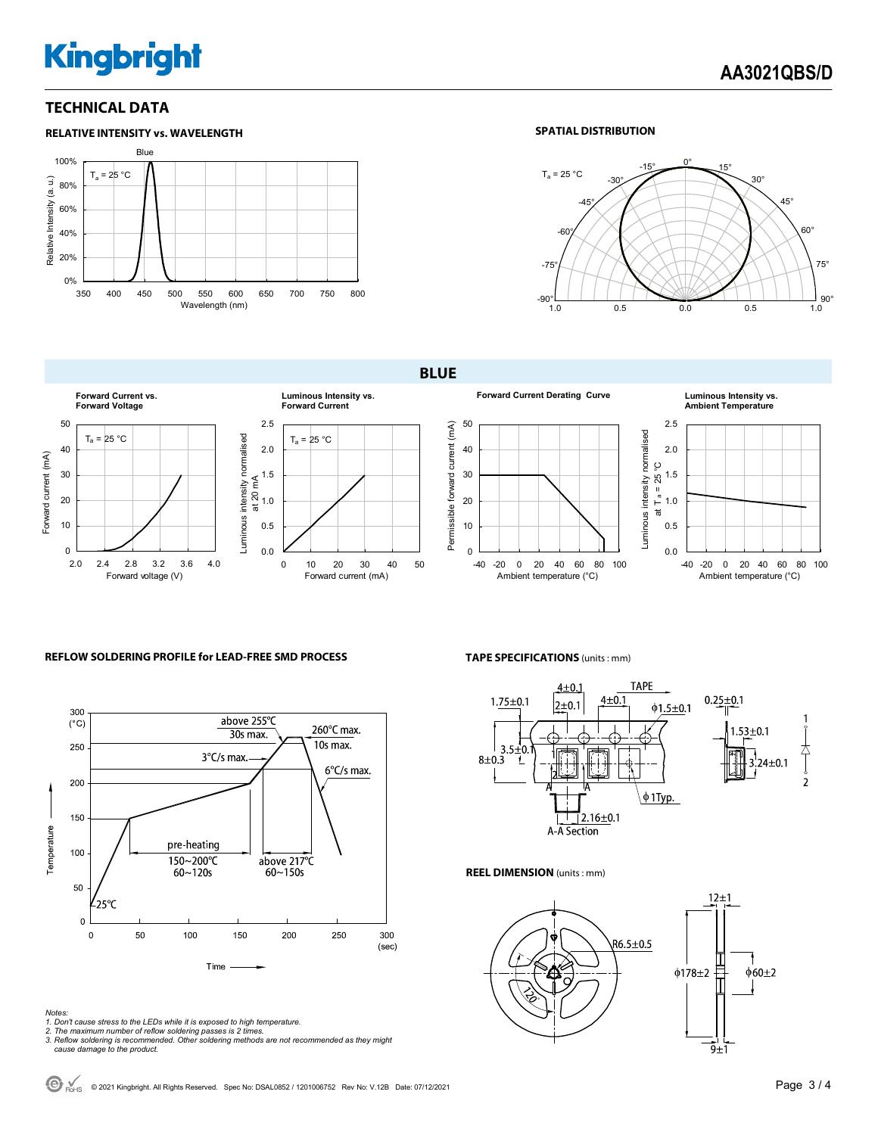## **Kingbright**

#### **TECHNICAL DATA**



#### **SPATIAL DISTRIBUTION**



**BLUE** 



#### **REFLOW SOLDERING PROFILE for LEAD-FREE SMD PROCESS**



#### *Notes:*

- *1. Don't cause stress to the LEDs while it is exposed to high temperature.*
- 
- *2. The maximum number of reflow soldering passes is 2 times. 3. Reflow soldering is recommended. Other soldering methods are not recommended as they might cause damage to the product.*

**TAPE SPECIFICATIONS** (units : mm)



#### **REEL DIMENSION** (units : mm)